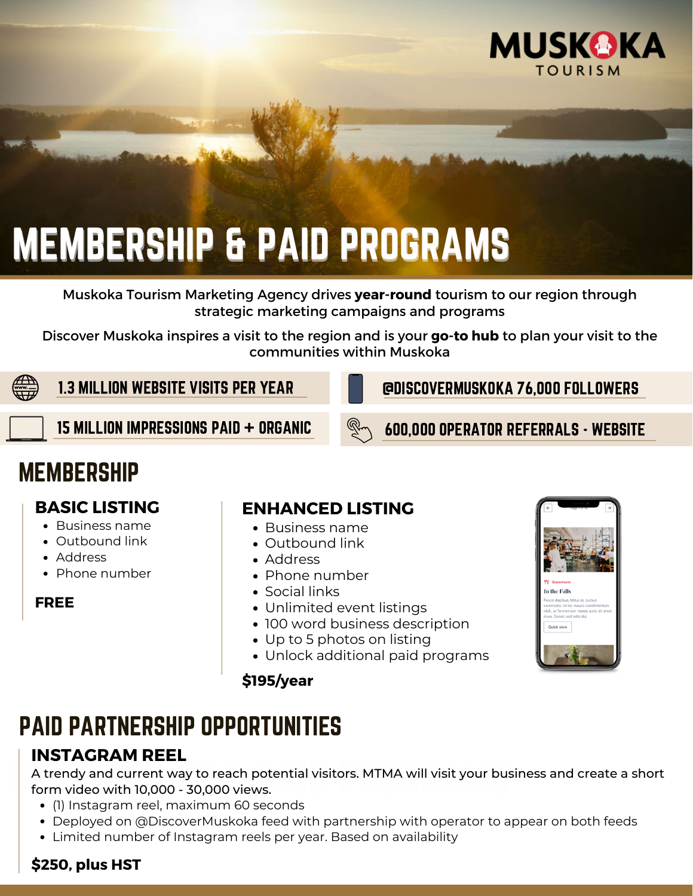

# MEMBERSHIP & PAID PROGRAMS

Muskoka Tourism Marketing Agency drives **year-round** tourism to our region through strategic marketing campaigns and programs

Discover Muskoka inspires a visit to the region and is your **go-to hub** to plan your visit to the communities within Muskoka



1.3 MILLION WEBSITE VISITS PER YEAR

@DISCOVERMUSKOKA 76,000 FOLLOWERS

15 MILLION IMPRESSIONS PAID + ORGANIC  $\mathbb{R}\setminus\mathbb{S}$  600.000 operator referrals - website

# **MEMBERSHIP**

# **BASIC LISTING**

- Business name
- Outbound link
- Address
- Phone number

#### **FREE**

#### **ENHANCED LISTING**

- Business name
- Outbound link
- Address
- Phone number
- Social links
- Unlimited event listings
- 100 word business description
- Up to 5 photos on listing
- Unlock additional paid programs

#### **\$195/year**



# PAID PARTNERSHIP OPPORTUNITIES

# **INSTAGRAM REEL**

A trendy and current way to reach potential visitors. MTMA will visit your bus<br>form video with 10,000 - 30,000 views. A trendy and current way to reach potential visitors. MTMA will visit your business and create a short form video with 10,000 - 30,000 views.

- (1) Instagram reel, maximum 60 seconds
- Deployed on @DiscoverMuskoka feed with partnership with operator to appear on both feeds
- Limited number of Instagram reels per year. Based on availability

## **\$250, plus HST**